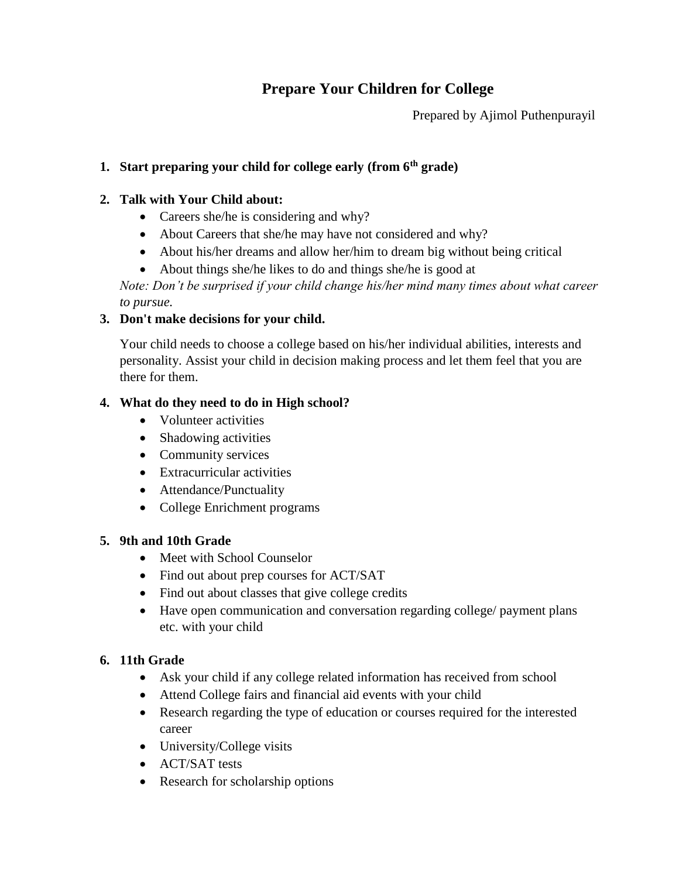# **Prepare Your Children for College**

Prepared by Ajimol Puthenpurayil

# **1. Start preparing your child for college early (from 6th grade)**

### **2. Talk with Your Child about:**

- Careers she/he is considering and why?
- About Careers that she/he may have not considered and why?
- About his/her dreams and allow her/him to dream big without being critical
- About things she/he likes to do and things she/he is good at

*Note: Don't be surprised if your child change his/her mind many times about what career to pursue.*

### **3. Don't make decisions for your child.**

Your child needs to choose a college based on his/her individual abilities, interests and personality. Assist your child in decision making process and let them feel that you are there for them.

### **4. What do they need to do in High school?**

- Volunteer activities
- Shadowing activities
- Community services
- Extracurricular activities
- Attendance/Punctuality
- College Enrichment programs

### **5. 9th and 10th Grade**

- Meet with School Counselor
- Find out about prep courses for ACT/SAT
- Find out about classes that give college credits
- Have open communication and conversation regarding college/ payment plans etc. with your child

### **6. 11th Grade**

- Ask your child if any college related information has received from school
- Attend College fairs and financial aid events with your child
- Research regarding the type of education or courses required for the interested career
- University/College visits
- ACT/SAT tests
- Research for scholarship options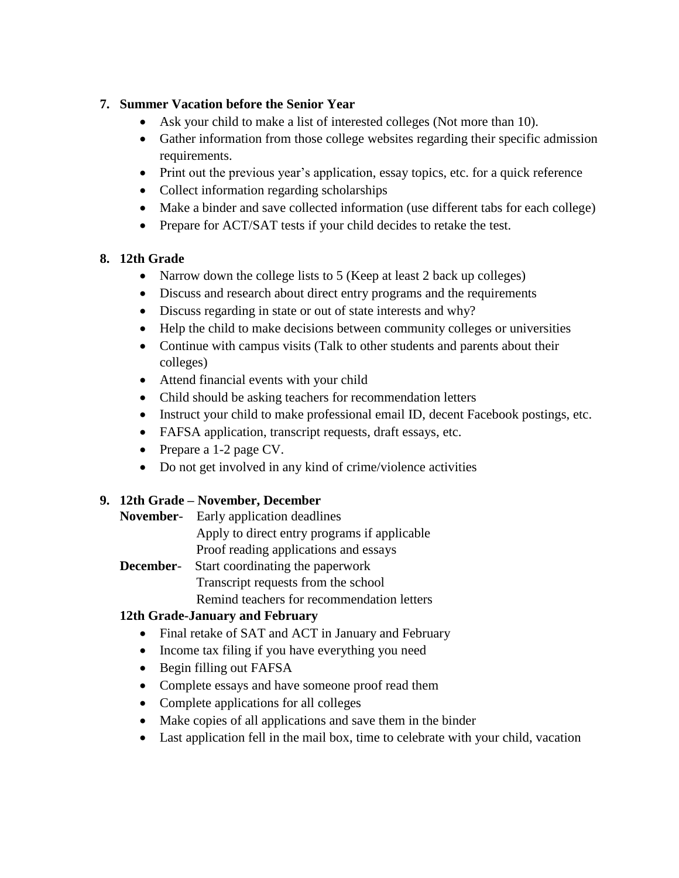## **7. Summer Vacation before the Senior Year**

- Ask your child to make a list of interested colleges (Not more than 10).
- Gather information from those college websites regarding their specific admission requirements.
- Print out the previous year's application, essay topics, etc. for a quick reference
- Collect information regarding scholarships
- Make a binder and save collected information (use different tabs for each college)
- Prepare for ACT/SAT tests if your child decides to retake the test.

# **8. 12th Grade**

- Narrow down the college lists to 5 (Keep at least 2 back up colleges)
- Discuss and research about direct entry programs and the requirements
- Discuss regarding in state or out of state interests and why?
- Help the child to make decisions between community colleges or universities
- Continue with campus visits (Talk to other students and parents about their colleges)
- Attend financial events with your child
- Child should be asking teachers for recommendation letters
- Instruct your child to make professional email ID, decent Facebook postings, etc.
- FAFSA application, transcript requests, draft essays, etc.
- Prepare a 1-2 page CV.
- Do not get involved in any kind of crime/violence activities

# **9. 12th Grade – November, December**

- **November** Early application deadlines Apply to direct entry programs if applicable Proof reading applications and essays
- **December** Start coordinating the paperwork Transcript requests from the school
	- Remind teachers for recommendation letters

# **12th Grade-January and February**

- Final retake of SAT and ACT in January and February
- Income tax filing if you have everything you need
- Begin filling out FAFSA
- Complete essays and have someone proof read them
- Complete applications for all colleges
- Make copies of all applications and save them in the binder
- Last application fell in the mail box, time to celebrate with your child, vacation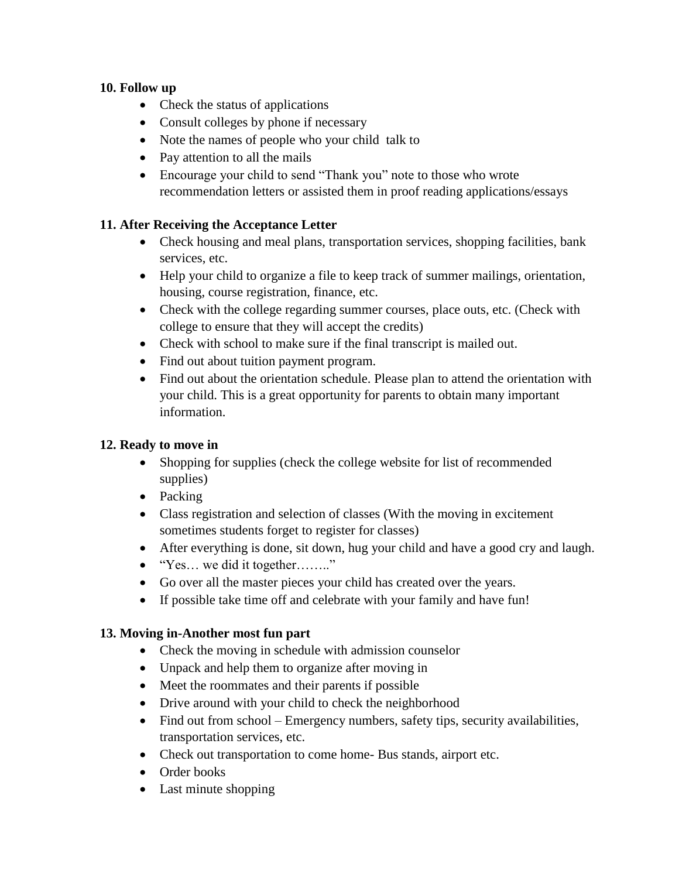#### **10. Follow up**

- Check the status of applications
- Consult colleges by phone if necessary
- Note the names of people who your child talk to
- Pay attention to all the mails
- Encourage your child to send "Thank you" note to those who wrote recommendation letters or assisted them in proof reading applications/essays

## **11. After Receiving the Acceptance Letter**

- Check housing and meal plans, transportation services, shopping facilities, bank services, etc.
- Help your child to organize a file to keep track of summer mailings, orientation, housing, course registration, finance, etc.
- Check with the college regarding summer courses, place outs, etc. (Check with college to ensure that they will accept the credits)
- Check with school to make sure if the final transcript is mailed out.
- Find out about tuition payment program.
- Find out about the orientation schedule. Please plan to attend the orientation with your child. This is a great opportunity for parents to obtain many important information.

### **12. Ready to move in**

- Shopping for supplies (check the college website for list of recommended supplies)
- Packing
- Class registration and selection of classes (With the moving in excitement sometimes students forget to register for classes)
- After everything is done, sit down, hug your child and have a good cry and laugh.
- "Yes… we did it together…….."
- Go over all the master pieces your child has created over the years.
- If possible take time off and celebrate with your family and have fun!

### **13. Moving in-Another most fun part**

- Check the moving in schedule with admission counselor
- Unpack and help them to organize after moving in
- Meet the roommates and their parents if possible
- Drive around with your child to check the neighborhood
- Find out from school Emergency numbers, safety tips, security availabilities, transportation services, etc.
- Check out transportation to come home- Bus stands, airport etc.
- Order books
- Last minute shopping